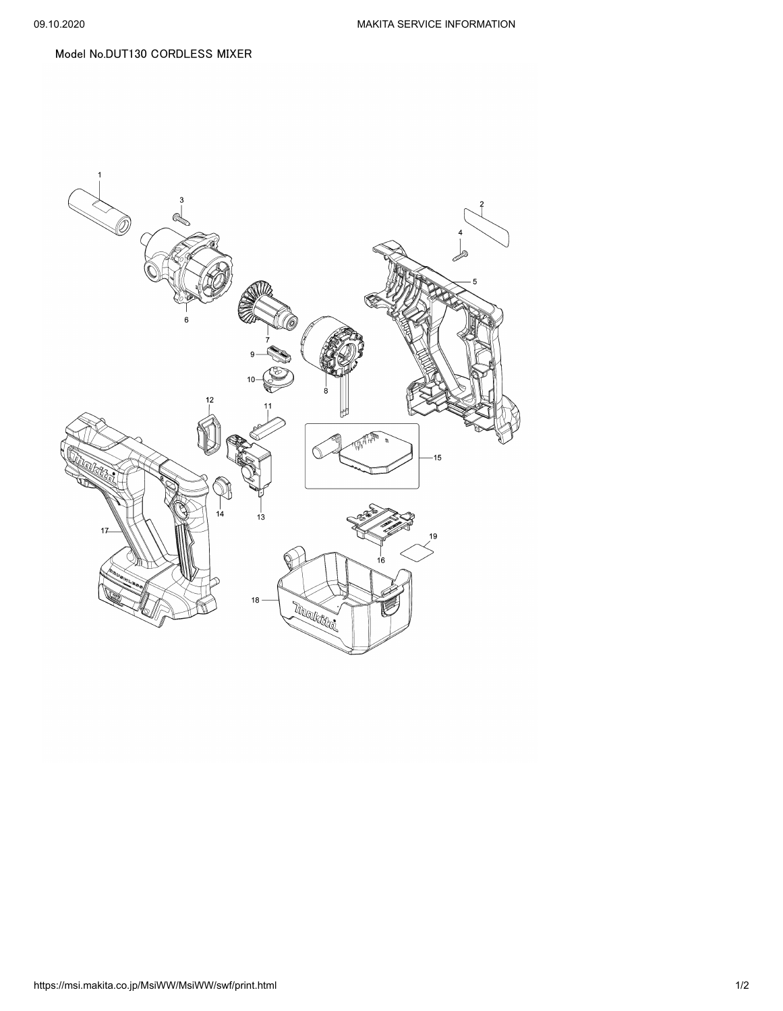## Model No.DUT130 CORDLESS MIXER